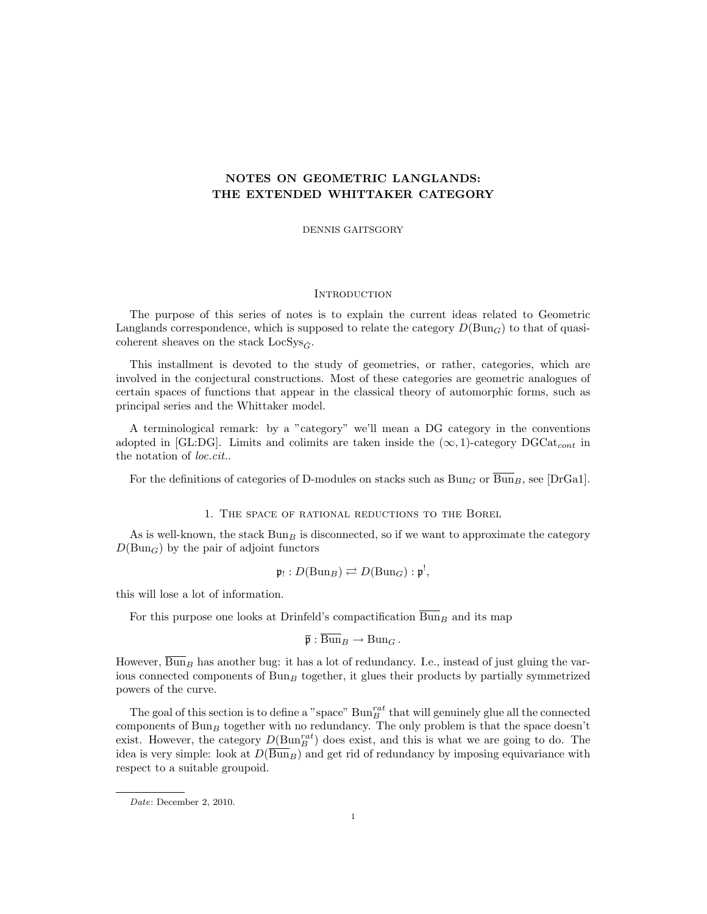## NOTES ON GEOMETRIC LANGLANDS: THE EXTENDED WHITTAKER CATEGORY

DENNIS GAITSGORY

#### **INTRODUCTION**

The purpose of this series of notes is to explain the current ideas related to Geometric Langlands correspondence, which is supposed to relate the category  $D(\text{Bun}_G)$  to that of quasicoherent sheaves on the stack LocSys $\tilde{c}$ .

This installment is devoted to the study of geometries, or rather, categories, which are involved in the conjectural constructions. Most of these categories are geometric analogues of certain spaces of functions that appear in the classical theory of automorphic forms, such as principal series and the Whittaker model.

A terminological remark: by a "category" we'll mean a DG category in the conventions adopted in [GL:DG]. Limits and colimits are taken inside the  $(\infty, 1)$ -category DGCat<sub>cont</sub> in the notation of loc.cit..

For the definitions of categories of D-modules on stacks such as  $Bun_G$  or  $\overline{Bun}_B$ , see [DrGa1].

1. The space of rational reductions to the Borel

As is well-known, the stack  $Bun_B$  is disconnected, so if we want to approximate the category  $D(\text{Bun}_G)$  by the pair of adjoint functors

$$
\mathfrak{p}_! : D(\mathrm{Bun}_B) \rightleftarrows D(\mathrm{Bun}_G) : \mathfrak{p}^!,
$$

this will lose a lot of information.

For this purpose one looks at Drinfeld's compactification  $\overline{\text{Bun}}_B$  and its map

$$
\overline{\mathfrak{p}}: \mathrm{Bun}_B \to \mathrm{Bun}_G.
$$

However,  $\overline{\text{Bun}}_B$  has another bug: it has a lot of redundancy. I.e., instead of just gluing the various connected components of  $Bun_B$  together, it glues their products by partially symmetrized powers of the curve.

The goal of this section is to define a "space"  $Bun_B^{rat}$  that will genuinely glue all the connected components of  $Bun_B$  together with no redundancy. The only problem is that the space doesn't exist. However, the category  $D(\text{Bun}_{B}^{rat})$  does exist, and this is what we are going to do. The idea is very simple: look at  $D(\overline{Bun}_B)$  and get rid of redundancy by imposing equivariance with respect to a suitable groupoid.

Date: December 2, 2010.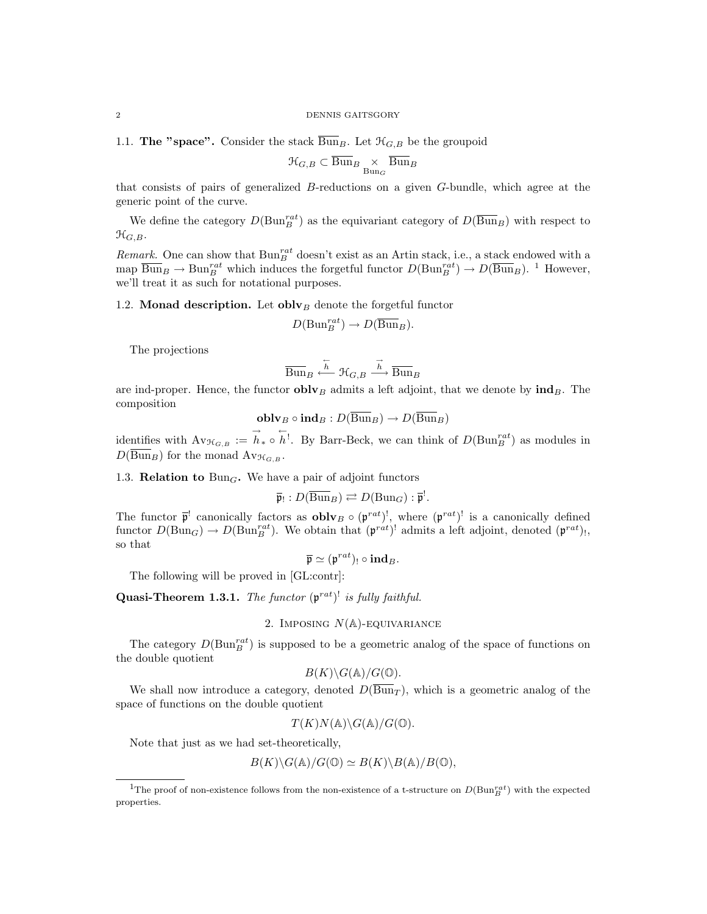1.1. The "space". Consider the stack  $\overline{\text{Bun}}_B$ . Let  $\mathcal{H}_{G,B}$  be the groupoid

$$
\mathfrak{H}_{G,B}\subset \overline{\operatorname{Bun}}_B\underset{\operatorname{Bun}_G}{\times}\overline{\operatorname{Bun}}_B
$$

that consists of pairs of generalized B-reductions on a given G-bundle, which agree at the generic point of the curve.

We define the category  $D(\text{Bun}_{B}^{rat})$  as the equivariant category of  $D(\overline{\text{Bun}}_B)$  with respect to  $\mathfrak{H}_{G,B}.$ 

Remark. One can show that  $\text{Bun}_{B}^{rat}$  doesn't exist as an Artin stack, i.e., a stack endowed with a map  $\overline{\text{Bun}}_B \to \text{Bun}_B^{rat}$  which induces the forgetful functor  $D(\text{Bun}_B^{rat}) \to D(\overline{\text{Bun}}_B)$ . <sup>1</sup> However, we'll treat it as such for notational purposes.

1.2. Monad description. Let obly  $B$  denote the forgetful functor

$$
D(\mathrm{Bun}_B^{rat}) \to D(\overline{\mathrm{Bun}}_B).
$$

The projections

$$
\overline{{\operatorname{Bun}}}_B \stackrel{\overleftarrow{h}}{\longleftarrow} \mathcal{H}_{G,B} \stackrel{\overrightarrow{h}}{\longrightarrow} \overline{{\operatorname{Bun}}}_B
$$

are ind-proper. Hence, the functor  $\mathbf{oblv}_B$  admits a left adjoint, that we denote by  $\mathbf{ind}_B$ . The composition

$$
\operatorname{\textbf{oblv}}_B\circ\operatorname{\textbf{ind}}_B:D(\overline{\operatorname{Bun}}_B)\to D(\overline{\operatorname{Bun}}_B)
$$

identifies with  $\text{Av}_{\mathcal{H}_{G,B}} := \overrightarrow{h}_{*} \circ \overleftarrow{h}$ . By Barr-Beck, we can think of  $D(\text{Bun}_B^{rat})$  as modules in  $D(\overline{Bun}_B)$  for the monad  $Av_{\mathcal{H}_{G,B}}$ .

1.3. **Relation to** Bun<sub>G</sub>. We have a pair of adjoint functors

$$
\overline{\mathfrak{p}}_! : D(\overline{\operatorname{Bun}}_B) \rightleftarrows D(\operatorname{Bun}_G) : \overline{\mathfrak{p}}^!.
$$

The functor  $\bar{\mathfrak{p}}^!$  canonically factors as **obly**  $\circ$   $(\mathfrak{p}^{rat})^!$ , where  $(\mathfrak{p}^{rat})^!$  is a canonically defined functor  $D(\text{Bun}_G) \to D(\text{Bun}_B^{rat})$ . We obtain that  $(\mathfrak{p}^{rat})^!$  admits a left adjoint, denoted  $(\mathfrak{p}^{rat})_!,$ so that

$$
\overline{\mathfrak{p}} \simeq (\mathfrak{p}^{rat})_! \circ \mathbf{ind}_B.
$$

The following will be proved in [GL:contr]:

**Quasi-Theorem 1.3.1.** The functor  $(\mathfrak{p}^{rat})^!$  is fully faithful.

## 2. IMPOSING  $N(A)$ -EQUIVARIANCE

The category  $D(\text{Bun}_B^{rat})$  is supposed to be a geometric analog of the space of functions on the double quotient

$$
B(K)\backslash G(\mathbb{A})/G(\mathbb{O}).
$$

We shall now introduce a category, denoted  $D(\overline{Bun}_T)$ , which is a geometric analog of the space of functions on the double quotient

$$
T(K)N(\mathbb{A})\backslash G(\mathbb{A})/G(\mathbb{O}).
$$

Note that just as we had set-theoretically,

$$
B(K)\backslash G(\mathbb{A})/G(\mathbb{O})\simeq B(K)\backslash B(\mathbb{A})/B(\mathbb{O}),
$$

<sup>&</sup>lt;sup>1</sup>The proof of non-existence follows from the non-existence of a t-structure on  $D(\text{Bun}_B^{rat})$  with the expected properties.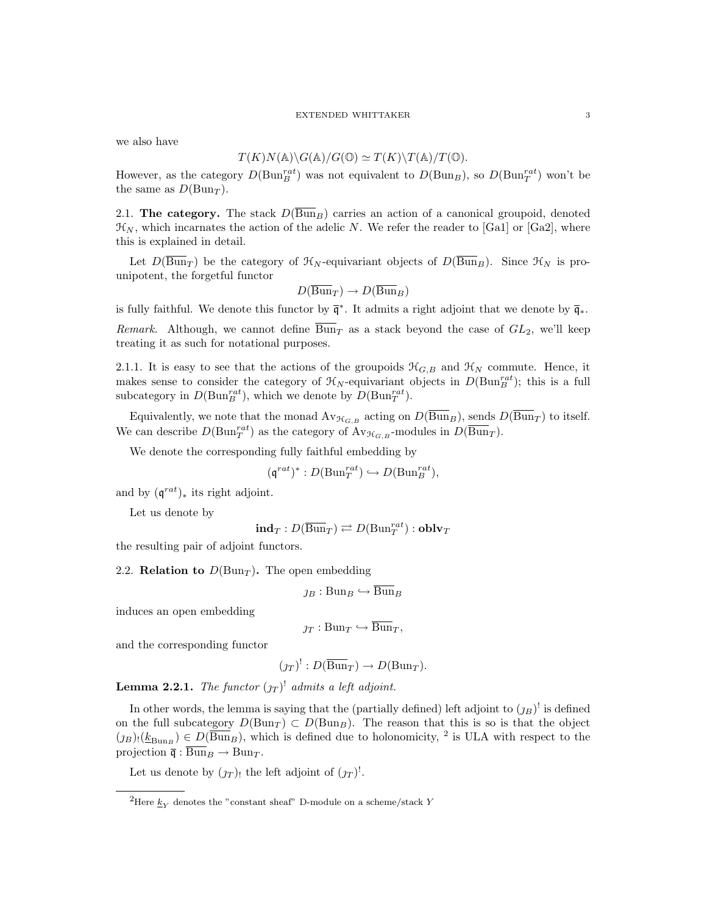#### EXTENDED WHITTAKER 3

we also have

$$
T(K)N(\mathbb{A})\backslash G(\mathbb{A})/G(\mathbb{O})\simeq T(K)\backslash T(\mathbb{A})/T(\mathbb{O}).
$$

However, as the category  $D(\text{Bun}_{B}^{rat})$  was not equivalent to  $D(\text{Bun}_{B})$ , so  $D(\text{Bun}_{T}^{rat})$  won't be the same as  $D(\text{Bun}_T)$ .

2.1. The category. The stack  $D(\overline{Bun}_B)$  carries an action of a canonical groupoid, denoted  $\mathcal{H}_N$ , which incarnates the action of the adelic N. We refer the reader to [Ga1] or [Ga2], where this is explained in detail.

Let  $D(\overline{Bun}_T)$  be the category of  $\mathcal{H}_N$ -equivariant objects of  $D(\overline{Bun}_B)$ . Since  $\mathcal{H}_N$  is prounipotent, the forgetful functor

$$
D(\overline{\operatorname{Bun}}_T) \to D(\overline{\operatorname{Bun}}_B)
$$

is fully faithful. We denote this functor by  $\overline{\mathfrak{q}}^*$ . It admits a right adjoint that we denote by  $\overline{\mathfrak{q}}_*$ .

Remark. Although, we cannot define  $\overline{Bun}_T$  as a stack beyond the case of  $GL_2$ , we'll keep treating it as such for notational purposes.

2.1.1. It is easy to see that the actions of the groupoids  $\mathcal{H}_{G,B}$  and  $\mathcal{H}_N$  commute. Hence, it makes sense to consider the category of  $\mathcal{H}_N$ -equivariant objects in  $D(\text{Bun}_B^{rat})$ ; this is a full subcategory in  $D(\text{Bun}_B^{rat})$ , which we denote by  $D(\text{Bun}_T^{rat})$ .

Equivalently, we note that the monad  $\text{Av}_{\mathcal{H}_{G,B}}$  acting on  $D(\overline{\text{Bun}}_B)$ , sends  $D(\overline{\text{Bun}}_T)$  to itself. We can describe  $D(\text{Bun}_T^{rat})$  as the category of  $\text{Av}_{\mathcal{H}_{G,B}}$ -modules in  $D(\overline{\text{Bun}}_T)$ .

We denote the corresponding fully faithful embedding by

$$
(\mathfrak{q}^{rat})^* : D(\mathrm{Bun}_T^{rat}) \hookrightarrow D(\mathrm{Bun}_B^{rat}),
$$

and by  $(q^{rat})_*$  its right adjoint.

Let us denote by

$$
\mathbf{ind}_T: D(\overline{\operatorname{Bun}}_T) \rightleftarrows D(\operatorname{Bun}_T^{rat}) : \mathbf{oblv}_T
$$

the resulting pair of adjoint functors.

2.2. **Relation to**  $D(\text{Bun}_T)$ . The open embedding

$$
\jmath_B: \mathrm{Bun}_B \hookrightarrow \overline{\mathrm{Bun}}_B
$$

induces an open embedding

$$
\jmath_T: \mathrm{Bun}_T \hookrightarrow \overline{\mathrm{Bun}}_T,
$$

and the corresponding functor

$$
(\jmath_T)^!: D(\overline{\mathrm{Bun}}_T) \to D(\mathrm{Bun}_T).
$$

**Lemma 2.2.1.** The functor  $(j_T)^!$  admits a left adjoint.

In other words, the lemma is saying that the (partially defined) left adjoint to  $(p_B)$ <sup>!</sup> is defined on the full subcategory  $D(\text{Bun}_T) \subset D(\text{Bun}_B)$ . The reason that this is so is that the object  $(p_B)$ : $(\underline{k}_{\text{Bun}_B}) \in D(\overline{\text{Bun}}_B)$ , which is defined due to holonomicity, <sup>2</sup> is ULA with respect to the projection  $\overline{\mathfrak{q}} : \overline{\text{Bun}}_B \to \text{Bun}_T$ .

Let us denote by  $(\jmath_T)$  the left adjoint of  $(\jmath_T)^!$ .

<sup>&</sup>lt;sup>2</sup>Here  $\underline{k}_Y$  denotes the "constant sheaf" D-module on a scheme/stack Y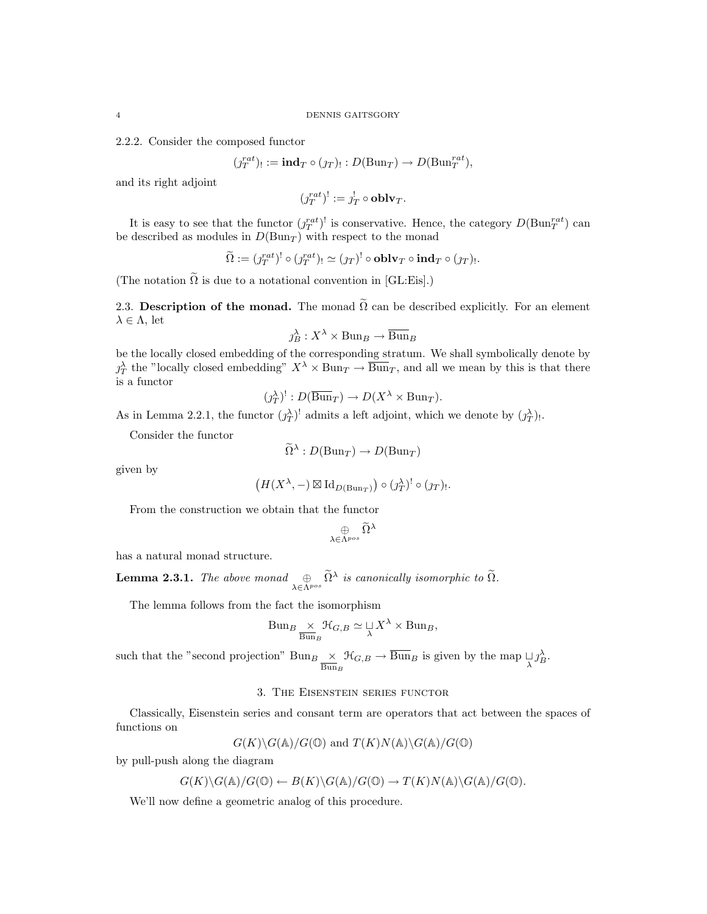2.2.2. Consider the composed functor

$$
(j_T^{rat})_! := \mathbf{ind}_T \circ (j_T)_! : D(\mathrm{Bun}_T) \to D(\mathrm{Bun}_T^{rat}),
$$

and its right adjoint

 $(j_T^{rat})^! := j_T^! \circ \textbf{oblv}_T.$ 

It is easy to see that the functor  $(j_T^{rat})^!$  is conservative. Hence, the category  $D(\text{Bun}_T^{rat})$  can be described as modules in  $D(\text{Bun}_T)$  with respect to the monad

$$
\widetilde{\Omega} := (j_T^{rat})^! \circ (j_T^{rat})_! \simeq (j_T)^! \circ \mathbf{oblv}_T \circ \mathbf{ind}_T \circ (j_T)_!.
$$

(The notation  $\tilde{\Omega}$  is due to a notational convention in [GL:Eis].)

2.3. Description of the monad. The monad  $\tilde{\Omega}$  can be described explicitly. For an element  $\lambda \in \Lambda$ , let

$$
\jmath_B^\lambda: X^\lambda \times \text{Bun}_B \to \overline{\text{Bun}}_B
$$

be the locally closed embedding of the corresponding stratum. We shall symbolically denote by  $\chi^{\lambda}_{T}$  the "locally closed embedding"  $X^{\lambda} \times \text{Bun}_{T} \to \overline{\text{Bun}}_{T}$ , and all we mean by this is that there is a functor

$$
(j_T^{\lambda})^!: D(\overline{\operatorname{Bun}}_T) \to D(X^{\lambda} \times \operatorname{Bun}_T).
$$

As in Lemma 2.2.1, the functor  $(\jmath_T^{\lambda})^!$  admits a left adjoint, which we denote by  $(\jmath_T^{\lambda})_!$ .

Consider the functor

$$
\widetilde{\Omega}^{\lambda}: D(\mathrm{Bun}_T) \to D(\mathrm{Bun}_T)
$$

given by

$$
(H(X^{\lambda}, -) \boxtimes \mathrm{Id}_{D(\mathrm{Bun}_T)}) \circ (\jmath_T^{\lambda})^! \circ (\jmath_T).
$$

From the construction we obtain that the functor

$$
\mathop{\oplus}\limits_{\lambda\in\Lambda^{pos}}\widetilde{\Omega}^{\lambda}
$$

has a natural monad structure.

**Lemma 2.3.1.** The above monad  $\bigoplus_{\lambda \in \Lambda^{pos}} \widetilde{\Omega}^{\lambda}$  is canonically isomorphic to  $\widetilde{\Omega}$ .

The lemma follows from the fact the isomorphism

$$
Bun_B \underset{\overline{\text{Bun}}_B}{\times} \mathcal{H}_{G,B} \simeq \underset{\lambda}{\cup} X^{\lambda} \times \text{Bun}_B,
$$

such that the "second projection" Bun<sub>B</sub>  $\times$  $Bun_B$  $\mathfrak{R}_{G,B} \to \overline{\text{Bun}}_B$  is given by the map  $\bigcup_{\lambda} \gamma_B^{\lambda}$ .

## 3. The Eisenstein series functor

Classically, Eisenstein series and consant term are operators that act between the spaces of functions on

$$
G(K)\backslash G(\mathbb{A})/G(\mathbb{O})
$$
 and  $T(K)N(\mathbb{A})\backslash G(\mathbb{A})/G(\mathbb{O})$ 

by pull-push along the diagram

$$
G(K)\backslash G(\mathbb{A})/G(\mathbb{O}) \leftarrow B(K)\backslash G(\mathbb{A})/G(\mathbb{O}) \rightarrow T(K)N(\mathbb{A})\backslash G(\mathbb{A})/G(\mathbb{O}).
$$

We'll now define a geometric analog of this procedure.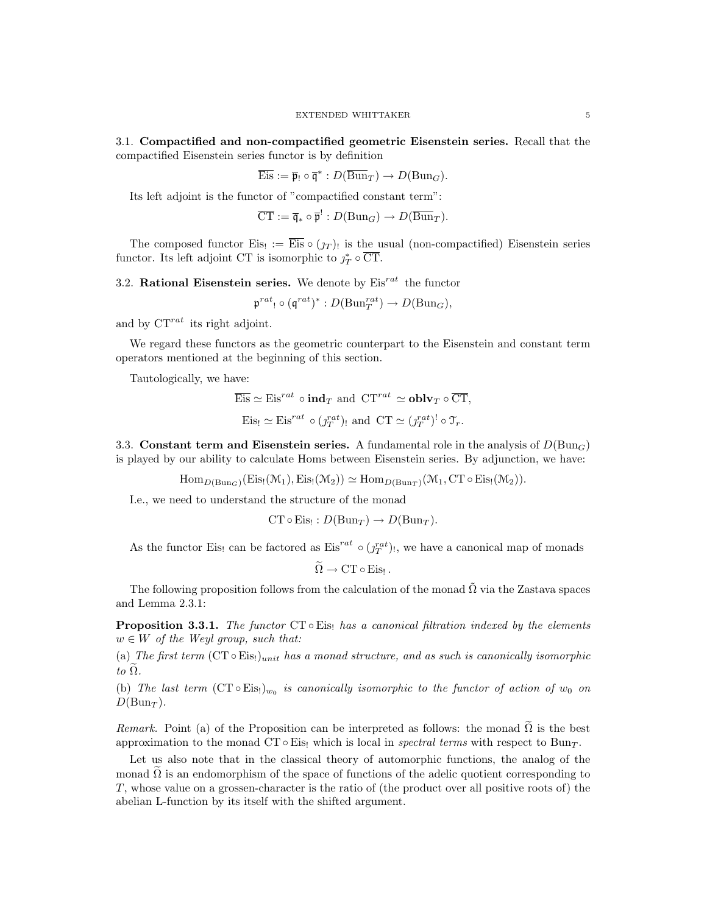3.1. Compactified and non-compactified geometric Eisenstein series. Recall that the compactified Eisenstein series functor is by definition

$$
\overline{\mathrm{Eis}} := \overline{\mathfrak{p}}_! \circ \overline{\mathfrak{q}}^* : D(\overline{\mathrm{Bun}}_T) \to D(\mathrm{Bun}_G).
$$

Its left adjoint is the functor of "compactified constant term":

$$
\overline{\mathrm{CT}} := \overline{\mathfrak{q}}_* \circ \overline{\mathfrak{p}}^! : D(\mathrm{Bun}_G) \to D(\overline{\mathrm{Bun}}_T).
$$

The composed functor Eis!  $:=$  Eis  $\circ$   $(y_T)$ ! is the usual (non-compactified) Eisenstein series functor. Its left adjoint CT is isomorphic to  $j_T^* \circ \overline{\text{CT}}$ .

3.2. Rational Eisenstein series. We denote by  $Eis^{rat}$  the functor

$$
\mathfrak p^{rat}\colon \circ (\mathfrak q^{rat})^*: D(\mathrm{Bun}_T^{rat}) \to D(\mathrm{Bun}_G),
$$

and by  $CT^{rat}$  its right adjoint.

We regard these functors as the geometric counterpart to the Eisenstein and constant term operators mentioned at the beginning of this section.

Tautologically, we have:

$$
\overline{\text{Eis}} \simeq \text{Eis}^{rat} \circ \text{ind}_T \text{ and } \text{CT}^{rat} \simeq \text{oblv}_T \circ \overline{\text{CT}},
$$
  

$$
\text{Eis}_! \simeq \text{Eis}^{rat} \circ (j_T^{rat})_! \text{ and } \text{CT} \simeq (j_T^{rat})^! \circ \mathcal{T}_r.
$$

3.3. Constant term and Eisenstein series. A fundamental role in the analysis of  $D(\text{Bun}_G)$ is played by our ability to calculate Homs between Eisenstein series. By adjunction, we have:

 $\text{Hom}_{D(\text{Bun}_G)}(\text{Eis}_{!}(\mathcal{M}_1), \text{Eis}_{!}(\mathcal{M}_2)) \simeq \text{Hom}_{D(\text{Bun}_T)}(\mathcal{M}_1, \text{CT} \circ \text{Eis}_{!}(\mathcal{M}_2)).$ 

I.e., we need to understand the structure of the monad

 $CT \circ Eis_! : D(Bun_T) \to D(Bun_T).$ 

As the functor Eis! can be factored as  $Eis^{rat} \circ (f_T^{rat})$ !, we have a canonical map of monads

$$
\Omega \to \mathrm{CT} \circ \mathrm{Eis}_!
$$

The following proposition follows from the calculation of the monad  $\tilde{\Omega}$  via the Zastava spaces and Lemma 2.3.1:

**Proposition 3.3.1.** The functor  $CT \circ Eis_!$  has a canonical filtration indexed by the elements  $w \in W$  of the Weyl group, such that:

(a) The first term  $(CT \circ Eis)_{unit}$  has a monad structure, and as such is canonically isomorphic to  $\Omega$ .

(b) The last term  $(CT \circ Eis_1)_{w_0}$  is canonically isomorphic to the functor of action of  $w_0$  on  $D(Bun_T)$ .

Remark. Point (a) of the Proposition can be interpreted as follows: the monad  $\Omega$  is the best approximation to the monad CT ∘Eis! which is local in *spectral terms* with respect to Bun<sub>T</sub>.

Let us also note that in the classical theory of automorphic functions, the analog of the monad  $\overline{\Omega}$  is an endomorphism of the space of functions of the adelic quotient corresponding to T, whose value on a grossen-character is the ratio of (the product over all positive roots of) the abelian L-function by its itself with the shifted argument.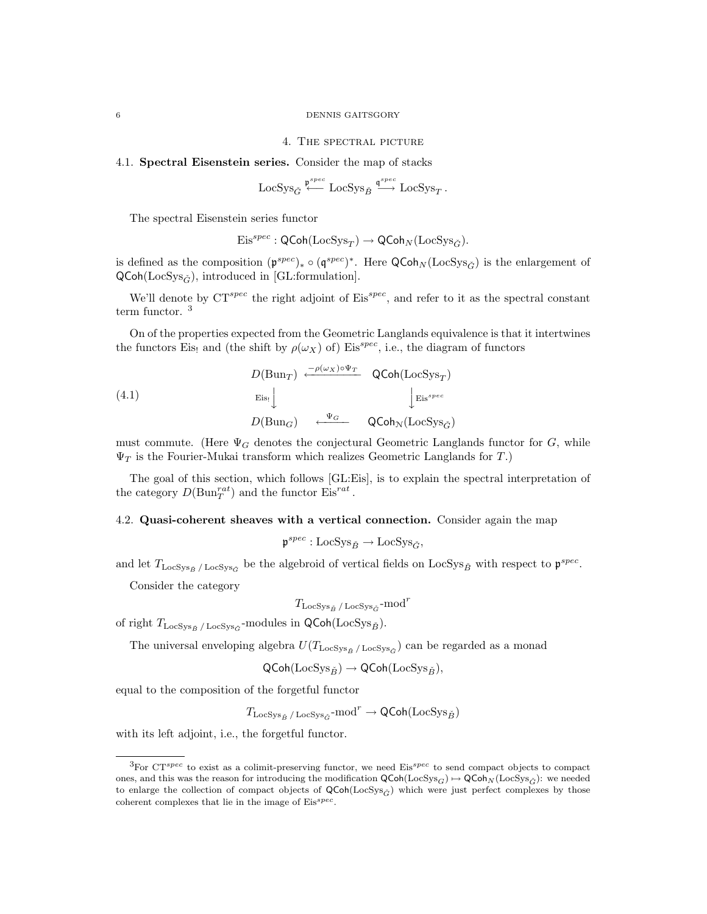#### 6 DENNIS GAITSGORY

#### 4. The spectral picture

#### 4.1. Spectral Eisenstein series. Consider the map of stacks

$$
\text{LocSys}_{G} \stackrel{\mathfrak{p}^{spec}}{\longleftarrow} \text{LocSys}_{B} \stackrel{\mathfrak{q}^{spec}}{\longrightarrow} \text{LocSys}_{T}.
$$

The spectral Eisenstein series functor

$$
\mathrm{Eis}^{spec} : \mathsf{QCoh}(\mathrm{LocSys}_T) \rightarrow \mathsf{QCoh}_N(\mathrm{LocSys}_{\check G}).
$$

is defined as the composition  $(\mathfrak{p}^{spec})_* \circ (\mathfrak{q}^{spec})^*$ . Here  $\mathsf{QCoh}_N(\mathrm{LocSys}_{\check{G}})$  is the enlargement of  $QCoh(LocSys_{\check{G}})$ , introduced in [GL:formulation].

We'll denote by  $CT^{spec}$  the right adjoint of  $Eis^{spec}$ , and refer to it as the spectral constant term functor. <sup>3</sup>

On of the properties expected from the Geometric Langlands equivalence is that it intertwines the functors Eis! and (the shift by  $\rho(\omega_X)$  of) Eis<sup>spec</sup>, i.e., the diagram of functors

(4.1)  
\n
$$
D(\text{Bun}_{T}) \xleftarrow{\rho(\omega_{X}) \circ \Psi_{T}} \text{QCoh}(\text{LocSys}_{T})
$$
\n
$$
\downarrow \text{Eis}^{spec}
$$
\n
$$
D(\text{Bun}_{G}) \xleftarrow{\Psi_{G}} \text{QCoh}_{N}(\text{LocSys}_{\tilde{G}})
$$

must commute. (Here  $\Psi_G$  denotes the conjectural Geometric Langlands functor for G, while  $\Psi_T$  is the Fourier-Mukai transform which realizes Geometric Langlands for T.)

The goal of this section, which follows [GL:Eis], is to explain the spectral interpretation of the category  $D(\text{Bun}_T^{rat})$  and the functor  $\text{Eis}^{rat}$ .

## 4.2. Quasi-coherent sheaves with a vertical connection. Consider again the map

 $\mathfrak{p}^{spec} : \text{LocSys}_{\check{B}} \to \text{LocSys}_{\check{G}},$ 

and let  $T_{\text{LocSys}_{\check{B}}/\text{LocSys}_{\check{G}}}$  be the algebroid of vertical fields on  $\text{LocSys}_{\check{B}}$  with respect to  $\mathfrak{p}^{spec}$ .

Consider the category

$$
T_{\rm LocSys_{\check{B}} \, / \, \rm LocSys_{\check{G}}\text{-mod}^{r}
$$

of right  $T_{\text{LocSys}_{\check{B}}/\text{LocSys}_{\check{G}}}$ -modules in QCoh(LocSys $_{\check{B}}$ ).

The universal enveloping algebra  $U(T_{\text{LocSys}_{\check{B}} / \text{LocSys}_{\check{G}}})$  can be regarded as a monad

$$
\mathsf{QCoh}(\mathrm{LocSys}_{\check{B}}) \to \mathsf{QCoh}(\mathrm{LocSys}_{\check{B}}),
$$

equal to the composition of the forgetful functor

 $T_{\text{LocSys}_{\check{B}}\,/\,\text{LocSys}_{\check{G}}} \text{-mod}^r \to \textsf{QCoh}(\text{LocSys}_{\check{B}})$ 

with its left adjoint, i.e., the forgetful functor.

 ${}^{3}$ For CT<sup>spec</sup> to exist as a colimit-preserving functor, we need Eis<sup>spec</sup> to send compact objects to compact ones, and this was the reason for introducing the modification  $\mathsf{QCoh}(\mathsf{LocSys}_G) \rightarrow \mathsf{QCoh}_N(\mathsf{LocSys}_{\tilde{G}})$ : we needed to enlarge the collection of compact objects of  $\mathsf{QCoh}(\mathsf{LocSys}_{\check{G}})$  which were just perfect complexes by those coherent complexes that lie in the image of  $Eis^{spec}$ .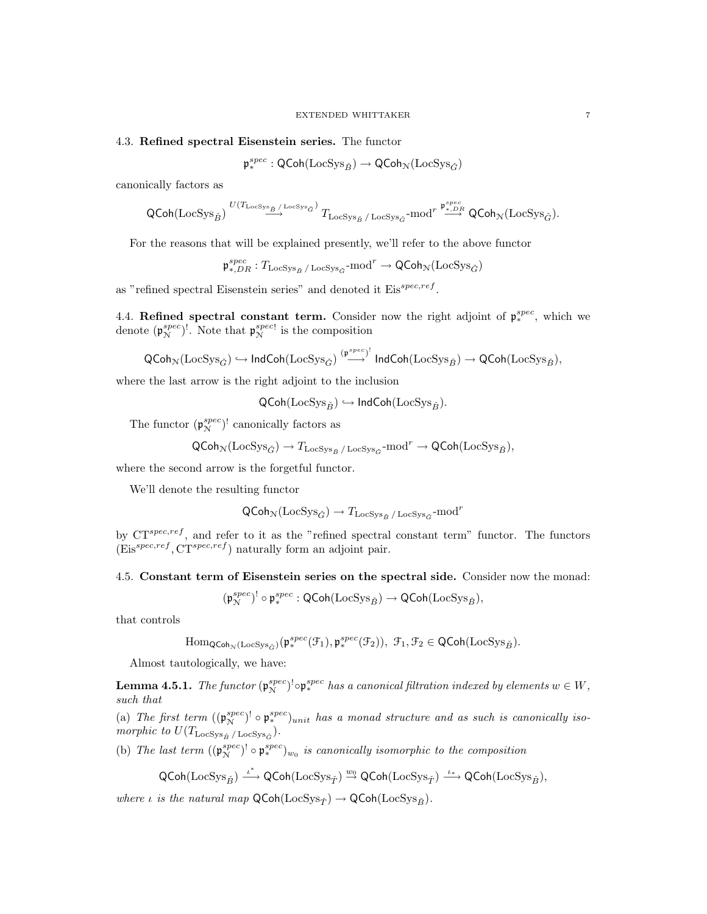#### 4.3. Refined spectral Eisenstein series. The functor

 $\mathfrak{p}_*^{spec} : \mathsf{QCoh}(\mathrm{LocSys}_{\check{B}}) \to \mathsf{QCoh}_{\mathcal{N}}(\mathrm{LocSys}_{\check{G}})$ 

canonically factors as

$$
\text{QCoh}(\text{LocSys}_{\check{B}}) \overset{U(T_{\text{LocSys}_{\check{B}}/\text{LocSys}_{\check{G}}})}{\longrightarrow} T_{\text{LocSys}_{\check{B}}/\text{LocSys}_{\check{G}}\text{-mod}^{r} \overset{\mathfrak{p}_{*,DR}^{spec}}{\longrightarrow} \text{QCoh}_{\mathcal{N}}(\text{LocSys}_{\check{G}}).
$$

For the reasons that will be explained presently, we'll refer to the above functor

 $\mathfrak{p}_{*,DR}^{spec}:T_{\textup{LocSys}_{\check{B}} \text{ / LocSys}_{\check{G}} \textup{-mod}^r \to \textup{\textsf{QCoh}}_{\mathcal{N}}(\textup{LocSys}_{\check{G}})$ 

as "refined spectral Eisenstein series" and denoted it  $Eis^{spec,ref}$ .

4.4. Refined spectral constant term. Consider now the right adjoint of  $p_*^{spec}$ , which we denote  $(\mathfrak{p}_{\mathcal{N}}^{spec})^!$ . Note that  $\mathfrak{p}_{\mathcal{N}}^{spec}$  $\mathbb{R}^{spec}$  is the composition

$$
\mathsf{QCoh}_\mathcal{N}(\mathrm{LocSys}_{\check{G}}) \hookrightarrow \mathsf{IndCoh}(\mathrm{LocSys}_{\check{G}}) \stackrel{(\mathfrak{p}^{spec})^!}{\longrightarrow} \mathsf{IndCoh}(\mathrm{LocSys}_{\check{B}}) \to \mathsf{QCoh}(\mathrm{LocSys}_{\check{B}}),
$$

where the last arrow is the right adjoint to the inclusion

$$
\mathsf{QCoh}(\mathrm{LocSys}_{\check{B}}) \hookrightarrow \mathsf{IndCoh}(\mathrm{LocSys}_{\check{B}}).
$$

The functor  $(\mathfrak{p}_{\mathcal{N}}^{spec})^!$  canonically factors as

$$
\mathsf{QCoh}_{\mathcal{N}}(\mathsf{LocSys}_{\check{G}}) \to T_{\mathsf{LocSys}_{\check{B}} \, / \, \mathsf{LocSys}_{\check{G}}} \text{-mod}^r \to \mathsf{QCoh}(\mathsf{LocSys}_{\check{B}}),
$$

where the second arrow is the forgetful functor.

We'll denote the resulting functor

$$
\mathsf{QCoh}_{\mathcal{N}}(\mathsf{LocSys}_{\check{G}}) \to T_{\mathsf{LocSys}_{\check{B}} \, / \, \mathsf{LocSys}_{\check{G}}\text{-mod}^r
$$

by  $CT^{spec,ref}$ , and refer to it as the "refined spectral constant term" functor. The functors  $(Eis^{spec,ref}, CT^{spec,ref})$  naturally form an adjoint pair.

4.5. Constant term of Eisenstein series on the spectral side. Consider now the monad:

$$
(\mathfrak{p}_\mathcal{N}^{spec})^!\circ \mathfrak{p}_*^{spec} : \mathsf{QCoh}(\mathrm{LocSys}_{\check{B}}) \to \mathsf{QCoh}(\mathrm{LocSys}_{\check{B}}),
$$

that controls

$$
\mathrm{Hom}_{\mathsf{QCoh}_{\mathcal{N}}(\mathrm{LocSys}_{\check{G}})}(\mathfrak{p}_*^{spec}(\mathcal{F}_1), \mathfrak{p}_*^{spec}(\mathcal{F}_2)), \ \mathcal{F}_1, \mathcal{F}_2 \in \mathsf{QCoh}(\mathrm{LocSys}_{\check{B}}).
$$

Almost tautologically, we have:

**Lemma 4.5.1.** The functor  $(\mathfrak{p}_{\mathcal{N}}^{spec})^! \circ \mathfrak{p}_{*}^{spec}$  has a canonical filtration indexed by elements  $w \in W$ , such that

(a) The first term  $((\mathfrak{p}_{\mathcal{N}}^{spec})^! \circ \mathfrak{p}_{*}^{spec})_{unit}$  has a monad structure and as such is canonically isomorphic to  $U(T_{\text{LocSys}_{\check{B}} / \text{LocSys}_{\check{G}}}).$ 

(b) The last term  $((\mathfrak{p}_{\mathcal{N}}^{spec})^! \circ \mathfrak{p}_{*}^{spec})_{w_0}$  is canonically isomorphic to the composition

$$
\mathsf{QCoh}(\mathrm{LocSys}_{\check{B}}) \stackrel{\iota^*}{\longrightarrow} \mathsf{QCoh}(\mathrm{LocSys}_{\check{T}}) \stackrel{w_0}{\rightarrow} \mathsf{QCoh}(\mathrm{LocSys}_{\check{T}}) \stackrel{\iota_*}{\longrightarrow} \mathsf{QCoh}(\mathrm{LocSys}_{\check{B}}),
$$

where  $\iota$  is the natural map  $\mathsf{QCoh}(\mathsf{LocSys}_{\check{T}}) \to \mathsf{QCoh}(\mathsf{LocSys}_{\check{B}}).$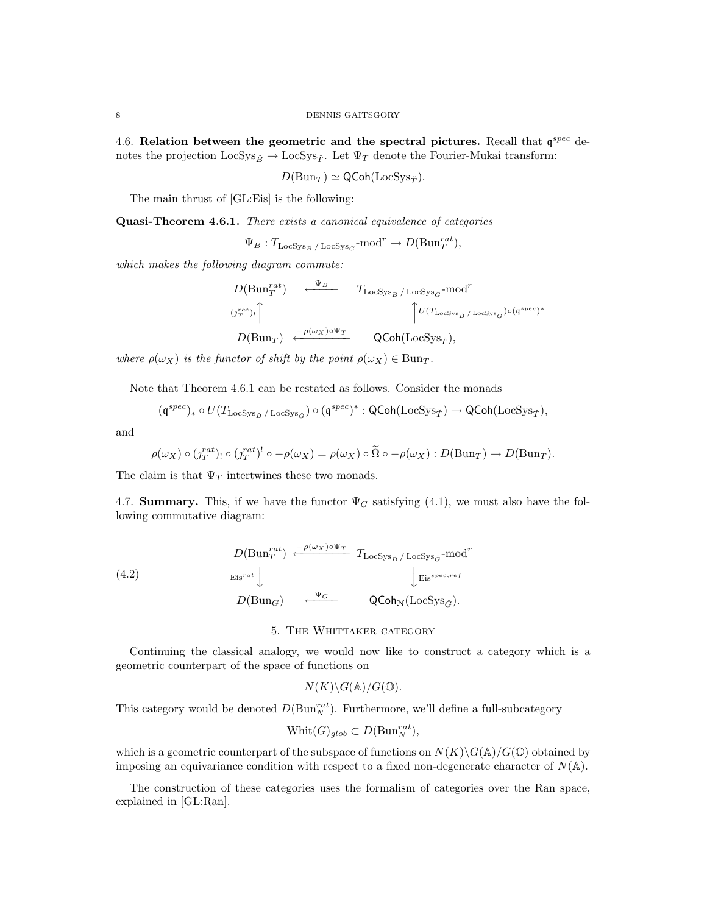4.6. Relation between the geometric and the spectral pictures. Recall that  $\mathfrak{q}^{spec}$  denotes the projection  $\text{LocSys}_{\check{B}} \rightarrow \text{LocSys}_{\check{T}}$ . Let  $\Psi_T$  denote the Fourier-Mukai transform:

$$
D(\mathrm{Bun}_T) \simeq \mathsf{QCoh}(\mathrm{LocSys}_{\check{T}}).
$$

The main thrust of [GL:Eis] is the following:

Quasi-Theorem 4.6.1. There exists a canonical equivalence of categories

 $\Psi_B: T_{\text{LocSys}_{\check{B}}/\text{LocSys}_{\check{G}}\text{-mod}^r \to D(\text{Bun}_T^{rat}),$ 

which makes the following diagram commute:

$$
D(\text{Bun}_{T}^{rat}) \xrightarrow{\Psi_{B}} T_{\text{LocSys}_{\check{B}} / \text{LocSys}_{\check{G}} - \text{mod}^{r}}
$$
  
\n
$$
(j_{T}^{rat})_{!} \uparrow \uparrow \qquad \qquad \uparrow U(T_{\text{LocSys}_{\check{B}} / \text{LocSys}_{\check{G}}) \circ (\mathfrak{q}^{spec})^{*}}
$$
  
\n
$$
D(\text{Bun}_{T}) \xleftarrow{-\rho(\omega_{X}) \circ \Psi_{T}} \qquad \text{QCoh}(\text{LocSys}_{\check{T}}),
$$

where  $\rho(\omega_X)$  is the functor of shift by the point  $\rho(\omega_X) \in \text{Bun}_T$ .

Note that Theorem 4.6.1 can be restated as follows. Consider the monads

$$
(\mathfrak{q}^{spec})_* \circ U(T_{\mathrm{LocSys}_{\check{B}}/ \mathrm{LocSys}_{\check{G}}}) \circ (\mathfrak{q}^{spec})^*: \mathsf{QCoh}(\mathrm{LocSys}_{\check{T}}) \to \mathsf{QCoh}(\mathrm{LocSys}_{\check{T}}),
$$

and

$$
\rho(\omega_X) \circ (j_T^{rat})_! \circ (j_T^{rat})^! \circ -\rho(\omega_X) = \rho(\omega_X) \circ \tilde{\Omega} \circ -\rho(\omega_X) : D(\text{Bun}_T) \to D(\text{Bun}_T).
$$

The claim is that  $\Psi_T$  intertwines these two monads.

4.7. Summary. This, if we have the functor  $\Psi_G$  satisfying (4.1), we must also have the following commutative diagram:

(4.2) 
$$
D(\text{Bun}_{T}^{rat}) \xleftarrow{\neg \rho(\omega_{X}) \circ \Psi_{T}} T_{\text{LocSys}_{\check{B}} / \text{LocSys}_{\check{G}} - \text{mod}^{r}
$$

$$
\downarrow Eis^{spec,ref}
$$

$$
D(\text{Bun}_{G}) \xleftarrow{\Psi_{G}} \text{QCoh}_{N}(\text{LocSys}_{\check{G}}).
$$

### 5. The Whittaker category

Continuing the classical analogy, we would now like to construct a category which is a geometric counterpart of the space of functions on

$$
N(K)\backslash G(\mathbb{A})/G(\mathbb{O}).
$$

This category would be denoted  $D(\text{Bun}_N^{rat})$ . Furthermore, we'll define a full-subcategory

$$
\text{Whit}(G)_{glob} \subset D(\text{Bun}_N^{rat}),
$$

which is a geometric counterpart of the subspace of functions on  $N(K)\backslash G(\mathbb{A})/G(\mathbb{O})$  obtained by imposing an equivariance condition with respect to a fixed non-degenerate character of  $N(\mathbb{A})$ .

The construction of these categories uses the formalism of categories over the Ran space, explained in [GL:Ran].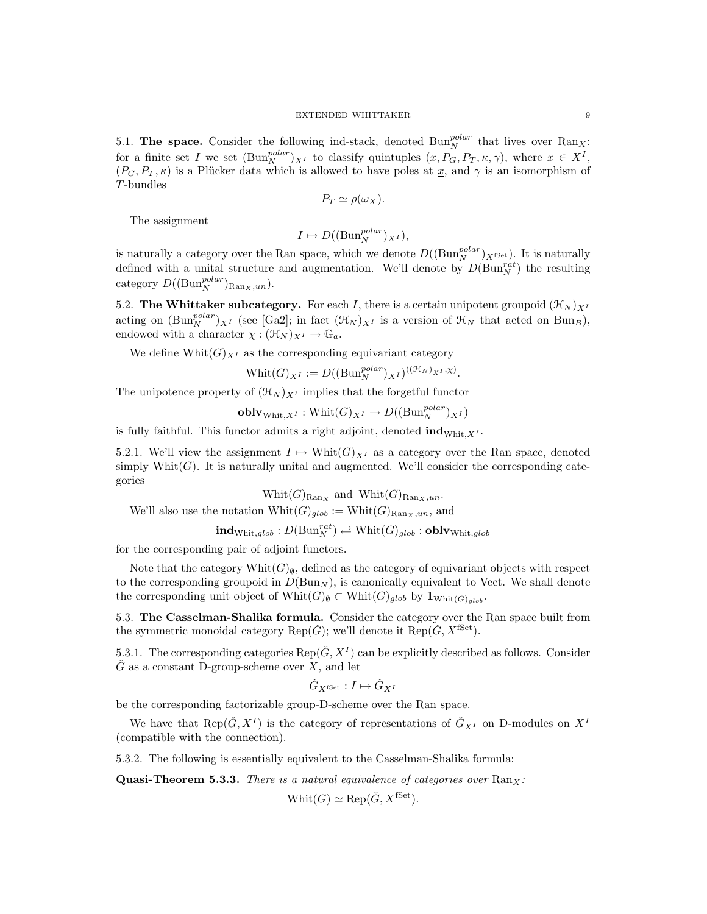5.1. The space. Consider the following ind-stack, denoted  $\text{Bun}_N^{polar}$  that lives over  $\text{Ran}_X$ : for a finite set I we set  $(\text{Bun}_N^{polar})_{X^I}$  to classify quintuples  $(\underline{x}, P_G, P_T, \kappa, \gamma)$ , where  $\underline{x} \in X^I$ ,  $(P_G, P_T, \kappa)$  is a Plücker data which is allowed to have poles at x, and  $\gamma$  is an isomorphism of T-bundles

$$
P_T \simeq \rho(\omega_X).
$$

The assignment

$$
I \mapsto D((\mathrm{Bun}_N^{polar})_{X^I}),
$$

is naturally a category over the Ran space, which we denote  $D((Bun_N^{polar})_{X^{\text{fSet}}})$ . It is naturally defined with a unital structure and augmentation. We'll denote by  $D(\text{Bun}_N^{rat})$  the resulting category  $D((Bun_N^{polar})_{\text{Ran}_X,un}).$ 

5.2. The Whittaker subcategory. For each I, there is a certain unipotent groupoid  $(\mathcal{H}_N)_{X^I}$ acting on  $(\text{Bun}_N^{polar})_{X^I}$  (see [Ga2]; in fact  $(\mathcal{H}_N)_{X^I}$  is a version of  $\mathcal{H}_N$  that acted on  $\overline{\text{Bun}}_B$ ), endowed with a character  $\chi : (\mathcal{H}_N)_{X^I} \to \mathbb{G}_a$ .

We define  $\text{Whit}(G)_{X^I}$  as the corresponding equivariant category

$$
\text{Whit}(G)_{X^I} := D((\text{Bun}_N^{polar})_{X^I})^{((\mathcal{H}_N)_{X^I}, \chi)}.
$$

The unipotence property of  $(\mathcal{H}_N)_{X^I}$  implies that the forgetful functor

$$
\mathbf{oblv}_{\mathrm{Whit},X^I}:\mathrm{Whit}(G)_{X^I}\rightarrow D((\mathrm{Bun}_N^{polar})_{X^I})
$$

is fully faithful. This functor admits a right adjoint, denoted  $\text{ind}_{\text{Whit},X^I}$ .

5.2.1. We'll view the assignment  $I \mapsto \text{Whit}(G)_{X^I}$  as a category over the Ran space, denoted simply Whit $(G)$ . It is naturally unital and augmented. We'll consider the corresponding categories

 $Whit(G)_{\text{Ran}_X}$  and  $Whit(G)_{\text{Ran}_X,un}.$ 

We'll also use the notation  $\text{Whit}(G)_{glob} := \text{Whit}(G)_{\text{Ran}_X,un}$ , and

 $\mathbf{ind}_{\mathrm{Whit},glob} : D(\mathrm{Bun}_N^{rat}) \rightleftarrows \mathrm{Whit}(G)_{glob} : \mathbf{oblv}_{\mathrm{Whit}, glob}$ 

for the corresponding pair of adjoint functors.

Note that the category Whit( $G_{\emptyset}$ , defined as the category of equivariant objects with respect to the corresponding groupoid in  $D(\text{Bun}_N)$ , is canonically equivalent to Vect. We shall denote the corresponding unit object of  $\text{Whit}(G)_{\emptyset} \subset \text{Whit}(G)_{glob}$  by  $\mathbf{1}_{\text{Whit}(G)_{glob}}$ .

5.3. The Casselman-Shalika formula. Consider the category over the Ran space built from the symmetric monoidal category Rep( $\check{G}$ ); we'll denote it Rep( $\check{G}$ ,  $X^{\text{fSet}}$ ).

5.3.1. The corresponding categories  $\text{Rep}(\check{G}, X^I)$  can be explicitly described as follows. Consider  $\check{G}$  as a constant D-group-scheme over X, and let

$$
\check G_{X^{\mathrm{fSet}}} : I \mapsto \check G_{X^I}
$$

be the corresponding factorizable group-D-scheme over the Ran space.

We have that  $\text{Rep}(\check{G}, X^I)$  is the category of representations of  $\check{G}_{X^I}$  on D-modules on  $X^I$ (compatible with the connection).

5.3.2. The following is essentially equivalent to the Casselman-Shalika formula:

**Quasi-Theorem 5.3.3.** There is a natural equivalence of categories over  $\text{Ran}_X$ :

 $Whit(G) \simeq \text{Rep}(\check{G}, X^{\text{fSet}}).$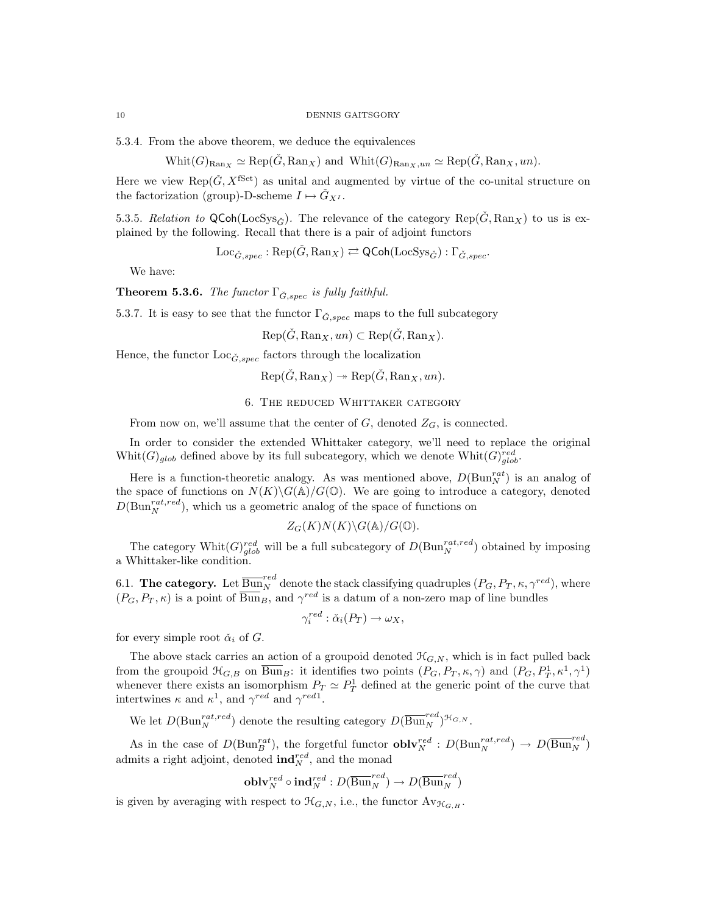#### 10 DENNIS GAITSGORY

5.3.4. From the above theorem, we deduce the equivalences

$$
Whit(G)_{\text{Ran}_X} \simeq \text{Rep}(\check{G}, \text{Ran}_X)
$$
 and  $Whit(G)_{\text{Ran}_X,un} \simeq \text{Rep}(\check{G}, \text{Ran}_X, un)$ .

Here we view Rep( $\check{G}, X^{\text{fSet}}$ ) as unital and augmented by virtue of the co-unital structure on the factorization (group)-D-scheme  $I \mapsto \check{G}_{X^I}$ .

5.3.5. Relation to QCoh(LocSys<sub> $\tilde{c}$ </sub>). The relevance of the category Rep( $G$ , Ran<sub>X</sub>) to us is explained by the following. Recall that there is a pair of adjoint functors

 $Loc_{\check{G},spec} : \text{Rep}(\check{G}, \text{Ran}_X) \rightleftarrows \text{QCoh}(\text{LocSys}_{\check{G}}) : \Gamma_{\check{G},spec}.$ 

We have:

**Theorem 5.3.6.** The functor  $\Gamma_{\tilde{G},spec}$  is fully faithful.

5.3.7. It is easy to see that the functor  $\Gamma_{\check{G},spec}$  maps to the full subcategory

 $Rep(\check{G}, Ran_X, un) \subset Rep(\check{G}, Ran_X).$ 

Hence, the functor  $Loc_{\check{G},spec}$  factors through the localization

$$
Rep(\check{G}, Ran_X) \to Rep(\check{G}, Ran_X, un).
$$

6. The reduced Whittaker category

From now on, we'll assume that the center of  $G$ , denoted  $Z_G$ , is connected.

In order to consider the extended Whittaker category, we'll need to replace the original Whit $(G)_{glob}$  defined above by its full subcategory, which we denote  $Whit(G)_{glob}^{red}$ .

Here is a function-theoretic analogy. As was mentioned above,  $D(\text{Bun}_{N}^{rat})$  is an analog of the space of functions on  $N(K)\backslash G(\mathbb{A})/G(\mathbb{O})$ . We are going to introduce a category, denoted  $D(\text{Bun}_{N}^{rat,red})$ , which us a geometric analog of the space of functions on

$$
Z_G(K)N(K)\backslash G(\mathbb{A})/G(\mathbb{O}).
$$

The category Whit $(G)_{glob}^{red}$  will be a full subcategory of  $D(\text{Bun}_N^{rat,red})$  obtained by imposing a Whittaker-like condition.

6.1. The category. Let  $\overline{\mathrm{Bun}}_N^{red}$  denote the stack classifying quadruples  $(P_G, P_T, \kappa, \gamma^{red}),$  where  $(P_G, P_T, \kappa)$  is a point of  $\overline{\text{Bun}}_B$ , and  $\gamma^{red}$  is a datum of a non-zero map of line bundles

$$
\gamma_i^{red} : \check{\alpha}_i(P_T) \to \omega_X,
$$

for every simple root  $\check{\alpha}_i$  of  $G$ .

The above stack carries an action of a groupoid denoted  $\mathcal{H}_{G,N}$ , which is in fact pulled back from the groupoid  $\mathfrak{H}_{G,B}$  on  $\overline{\text{Bun}}_B$ : it identifies two points  $(P_G, P_T, \kappa, \gamma)$  and  $(P_G, P_T^1, \kappa^1, \gamma^1)$ whenever there exists an isomorphism  $P_T \simeq P_T^1$  defined at the generic point of the curve that intertwines  $\kappa$  and  $\kappa^1$ , and  $\gamma^{red}$  and  $\gamma^{red}$ .

We let  $D(\text{Bun}_N^{rat,red})$  denote the resulting category  $D(\overline{\text{Bun}}_N^{red})^{\mathcal{H}_{G,N}}$ .

As in the case of  $D(\text{Bun}_B^{rat})$ , the forgetful functor  $\text{oblv}_N^{red}: D(\text{Bun}_N^{rat,red}) \to D(\overline{\text{Bun}}_N^{red})$ admits a right adjoint, denoted  $\text{ind}_{N}^{red}$ , and the monad

$$
\mathbf{oblv}_N^{red} \circ \mathbf{ind}_N^{red} : D(\overline{\operatorname{Bun}}_N^{red}) \to D(\overline{\operatorname{Bun}}_N^{red})
$$

is given by averaging with respect to  $\mathcal{H}_{G,N}$ , i.e., the functor  $Av_{\mathcal{H}_{G,H}}$ .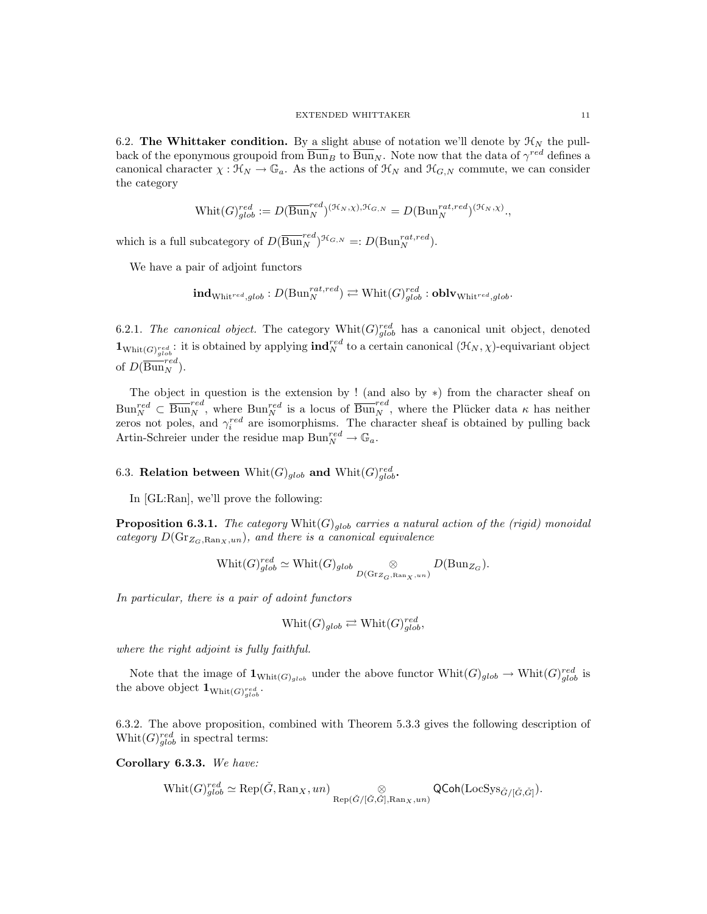6.2. The Whittaker condition. By a slight abuse of notation we'll denote by  $\mathcal{H}_N$  the pullback of the eponymous groupoid from  $\overline{\text{Bun}}_B$  to  $\overline{\text{Bun}}_N$ . Note now that the data of  $\gamma^{red}$  defines a canonical character  $\chi : \mathfrak{K}_N \to \mathbb{G}_a$ . As the actions of  $\mathfrak{K}_N$  and  $\mathfrak{K}_{G,N}$  commute, we can consider the category

$$
\text{Whit}(G)^{red}_{glob} := D(\overline{\text{Bun}}_N^{red})^{(\mathcal{H}_N, \chi), \mathcal{H}_{G,N}} = D(\text{Bun}_N^{rat, red})^{(\mathcal{H}_N, \chi)},
$$

which is a full subcategory of  $D(\overline{\text{Bun}}_N^{red})^{\mathcal{H}_{G,N}} =: D(\text{Bun}_N^{rat,red}).$ 

We have a pair of adjoint functors

$$
\mathbf{ind}_{\mathrm{Whit}^{red}, glob}: D(\mathrm{Bun}_N^{rat,red}) \rightleftarrows \mathrm{Whit}(G)_{glob}^{red}: \mathbf{oblv}_{\mathrm{Whit}^{red}, glob}.
$$

6.2.1. The canonical object. The category  $\text{Whit}(G)_{glob}^{red}$  has a canonical unit object, denoted  $\mathbf{1}_{\text{Whit}(G)_{glob}^{red}}$ : it is obtained by applying  $\text{ind}_{N}^{red}$  to a certain canonical  $(\mathcal{H}_{N}, \chi)$ -equivariant object of  $D(\overline{\mathrm{Bun}}_N^{red}).$ 

The object in question is the extension by ! (and also by ∗) from the character sheaf on  $\text{Bun}_{N}^{red} \subset \overline{\text{Bun}_{N}^{red}}$ , where  $\text{Bun}_{N}^{red}$  is a locus of  $\overline{\text{Bun}_{N}^{red}}$ , where the Plücker data  $\kappa$  has neither zeros not poles, and  $\gamma_i^{red}$  are isomorphisms. The character sheaf is obtained by pulling back Artin-Schreier under the residue map  $\text{Bun}_N^{red} \to \mathbb{G}_a$ .

6.3. Relation between  $\text{Whit}(G)_{glob}$  and  $\text{Whit}(G)_{glob}^{red}$ .

In [GL:Ran], we'll prove the following:

**Proposition 6.3.1.** The category  $\text{Whit}(G)_{qlob}$  carries a natural action of the (rigid) monoidal category  $D(\text{Gr}_{Z_G,\text{Ran}_X,un})$ , and there is a canonical equivalence

$$
\text{Whit}(G)^{red}_{glob} \simeq \text{Whit}(G)_{glob} \underset{D(\text{Gr}_{Z_G, \text{Ran}_X, un})}{\otimes} D(\text{Bun}_{Z_G}).
$$

In particular, there is a pair of adoint functors

$$
Whit(G)_{glob} \rightleftarrows Whit(G)_{glob}^{red},
$$

where the right adjoint is fully faithful.

Note that the image of  $\mathbf{1}_{\text{Whit}(G)_{glob}}$  under the above functor  $\text{Whit}(G)_{glob} \to \text{Whit}(G)_{glob}^{red}$  is the above object  $\mathbf{1}_{\text{Whit}(G)_{glob}^{red}}$ .

6.3.2. The above proposition, combined with Theorem 5.3.3 gives the following description of Whit $(G)_{glob}^{red}$  in spectral terms:

Corollary 6.3.3. We have:

$$
\text{Whit}(G)^{red}_{glob} \simeq \text{Rep}(\check{G}, \text{Ran}_X, un) \underset{\text{Rep}(\check{G}/[\check{G}, \check{G}], \text{Ran}_X, un)}{\otimes} \text{QCoh}(\text{LocSys}_{\check{G}/[\check{G}, \check{G}]}).
$$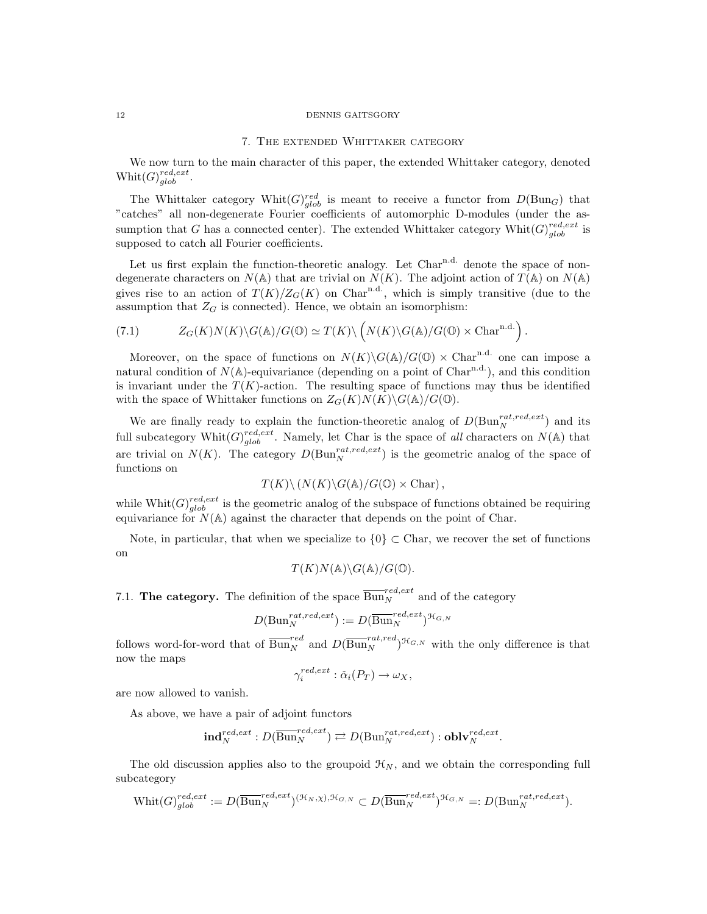#### 12 DENNIS GAITSGORY

## 7. The extended Whittaker category

We now turn to the main character of this paper, the extended Whittaker category, denoted  $\text{Whit}(G)_{glob}^{red, ext}.$ 

The Whittaker category Whit $(G)_{glob}^{red}$  is meant to receive a functor from  $D(\text{Bun}_G)$  that "catches" all non-degenerate Fourier coefficients of automorphic D-modules (under the assumption that G has a connected center). The extended Whittaker category  $\text{Whit}(G)_{glob}^{red, ext}$  is supposed to catch all Fourier coefficients.

Let us first explain the function-theoretic analogy. Let  $Char^{n.d.}$  denote the space of nondegenerate characters on  $N(A)$  that are trivial on  $N(K)$ . The adjoint action of  $T(A)$  on  $N(A)$ gives rise to an action of  $T(K)/Z_G(K)$  on Char<sup>n.d.</sup>, which is simply transitive (due to the assumption that  $Z_G$  is connected). Hence, we obtain an isomorphism:

.

(7.1) 
$$
Z_G(K)N(K)\backslash G(\mathbb{A})/G(\mathbb{O})\simeq T(K)\backslash \left(N(K)\backslash G(\mathbb{A})/G(\mathbb{O})\times \text{Char}^{\text{n.d.}}\right)
$$

Moreover, on the space of functions on  $N(K)\G(\mathbb{A})/G(\mathbb{O})\times \text{Char}^{\n<sub>n.d.</sub>}$  one can impose a natural condition of  $N(\mathbb{A})$ -equivariance (depending on a point of Char<sup>n.d.</sup>), and this condition is invariant under the  $T(K)$ -action. The resulting space of functions may thus be identified with the space of Whittaker functions on  $Z_G(K)N(K)\backslash G(\mathbb{A})/G(\mathbb{O})$ .

We are finally ready to explain the function-theoretic analog of  $D(\text{Bun}_N^{rat,red,ext})$  and its full subcategory Whit $(G)_{glob}^{red, ext}$ . Namely, let Char is the space of all characters on  $N(A)$  that are trivial on  $N(K)$ . The category  $D(\text{Bun}_N^{rat, red, ext})$  is the geometric analog of the space of functions on

$$
T(K)\backslash (N(K)\backslash G(\mathbb{A})/G(\mathbb{O})\times \text{Char}),
$$

while  $\text{Whit}(G)_{glob}^{red, ext}$  is the geometric analog of the subspace of functions obtained be requiring equivariance for  $N(A)$  against the character that depends on the point of Char.

Note, in particular, that when we specialize to  ${0} \subset \text{Char}$ , we recover the set of functions on

$$
T(K)N(\mathbb{A})\backslash G(\mathbb{A})/G(\mathbb{O}).
$$

7.1. **The category.** The definition of the space  $\overline{\text{Bun}}_N^{red, ext}$  and of the category

$$
D(\mathrm{Bun}_N^{rat, red, ext}) := D(\overline{\mathrm{Bun}}_N^{red, ext})^{\mathcal{H}_{G,N}}
$$

follows word-for-word that of  $\overline{\text{Bun}}_N^{red}$  and  $D(\overline{\text{Bun}}_N^{rat,red})^{\mathcal{H}_{G,N}}$  with the only difference is that now the maps

$$
\gamma_i^{red,ext} : \check{\alpha}_i(P_T) \to \omega_X,
$$

are now allowed to vanish.

As above, we have a pair of adjoint functors

$$
\mathbf{ind}_{N}^{red,ext}: D(\overline{\mathrm{Bun}}_{N}^{red,ext}) \rightleftarrows D(\mathrm{Bun}_{N}^{rat,red,ext}): \mathbf{oblv}_{N}^{red,ext}.
$$

The old discussion applies also to the groupoid  $\mathcal{H}_N$ , and we obtain the corresponding full subcategory

$$
\text{Whit}(G)_{glob}^{red, ext} := D(\overline{\text{Bun}}_N^{red, ext})^{(\mathcal{H}_N, \chi), \mathcal{H}_{G,N}} \subset D(\overline{\text{Bun}}_N^{red, ext})^{\mathcal{H}_{G,N}} =: D(\text{Bun}_N^{rat, red, ext}).
$$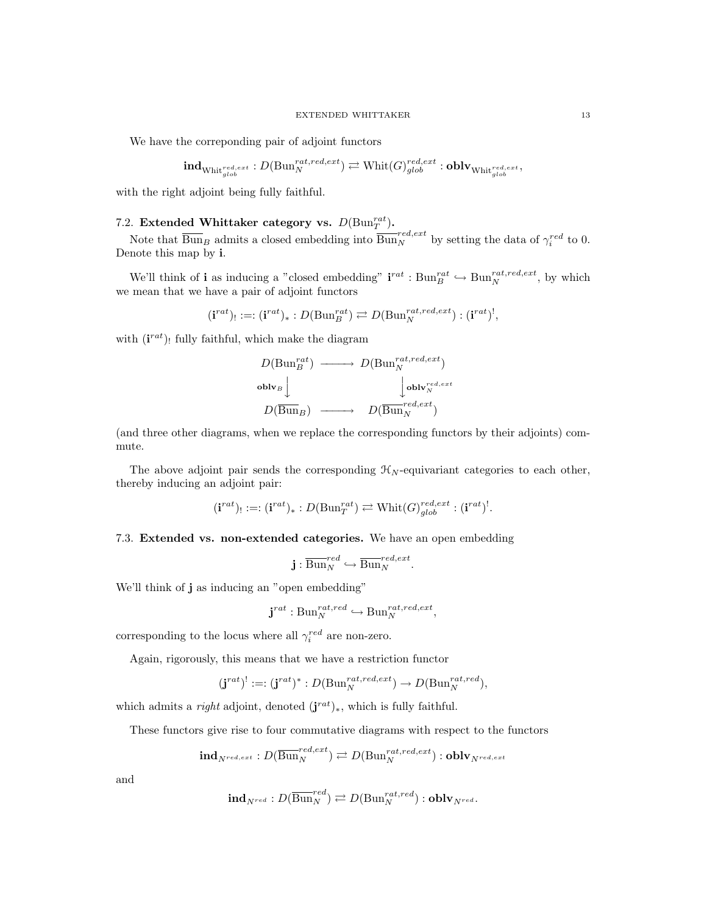We have the correponding pair of adjoint functors

$$
\mathbf{ind}_{\mathrm{Whit}_{glob}^{red, ext}}: D(\mathrm{Bun}_N^{rat, red, ext}) \rightleftarrows \mathrm{Whit}(G)_{glob}^{red, ext} : \mathbf{oblv}_{\mathrm{Whit}_{glob}^{red, ext}},
$$

with the right adjoint being fully faithful.

# 7.2. Extended Whittaker category vs.  $D(\text{Bun}_T^{rat})$ .

Note that  $\overline{\text{Bun}}_B$  admits a closed embedding into  $\overline{\text{Bun}}_N^{red,ext}$  by setting the data of  $\gamma_i^{red}$  to 0. Denote this map by i.

We'll think of **i** as inducing a "closed embedding"  $i^{rat} : Bun_B^{rat} \hookrightarrow Bun_N^{rat,red,ext}$ , by which we mean that we have a pair of adjoint functors

$$
(\mathbf{i}^{rat})_! :=: (\mathbf{i}^{rat})_* : D(\mathrm{Bun}_B^{rat}) \rightleftarrows D(\mathrm{Bun}_N^{rat, red, ext}) : (\mathbf{i}^{rat})^!,
$$

with  $(i^{rat})$ ! fully faithful, which make the diagram

$$
D(\text{Bun}_{B}^{rat}) \longrightarrow D(\text{Bun}_{N}^{rat, red, ext})
$$
  
\n
$$
\text{oblv}_{B} \downarrow \qquad \qquad \downarrow \text{oblv}_{N}^{red, ext}
$$
  
\n
$$
D(\overline{\text{Bun}}_{B}) \longrightarrow D(\overline{\text{Bun}}_{N}^{red, ext})
$$

(and three other diagrams, when we replace the corresponding functors by their adjoints) commute.

The above adjoint pair sends the corresponding  $\mathcal{H}_N$ -equivariant categories to each other, thereby inducing an adjoint pair:

$$
(\mathbf{i}^{rat})_! :=: (\mathbf{i}^{rat})_* : D(\mathrm{Bun}_T^{rat}) \rightleftarrows \mathrm{Whit}(G)_{glob}^{red, ext} : (\mathbf{i}^{rat})^!.
$$

## 7.3. Extended vs. non-extended categories. We have an open embedding

$$
\mathbf{j}: \overline{\operatorname{Bun}}_{N}^{red} \hookrightarrow \overline{\operatorname{Bun}}_{N}^{red,ext}.
$$

We'll think of **j** as inducing an "open embedding"

$$
\mathbf{j}^{rat}:\mathrm{Bun}_N^{rat,red}\hookrightarrow \mathrm{Bun}_N^{rat,red,ext},
$$

corresponding to the locus where all  $\gamma_i^{red}$  are non-zero.

Again, rigorously, this means that we have a restriction functor

$$
(\mathbf{j}^{rat})^! :=: (\mathbf{j}^{rat})^* : D(\mathrm{Bun}_N^{rat, red, ext}) \to D(\mathrm{Bun}_N^{rat, red}),
$$

which admits a *right* adjoint, denoted  $(j^{rat})_*$ , which is fully faithful.

These functors give rise to four commutative diagrams with respect to the functors

$$
\mathbf{ind}_{N^{red,ext}}: D(\overline{\text{Bun}}_{N}^{red,ext}) \rightleftarrows D(\text{Bun}_{N}^{rat,red,ext}): \mathbf{oblv}_{N^{red,ext}}
$$

and

$$
\mathbf{ind}_{N^{red}}: D(\overline{\operatorname{Bun}}_{N}^{red}) \rightleftarrows D(\operatorname{Bun}_{N}^{rat,red}): \mathbf{oblv}_{N^{red}}.
$$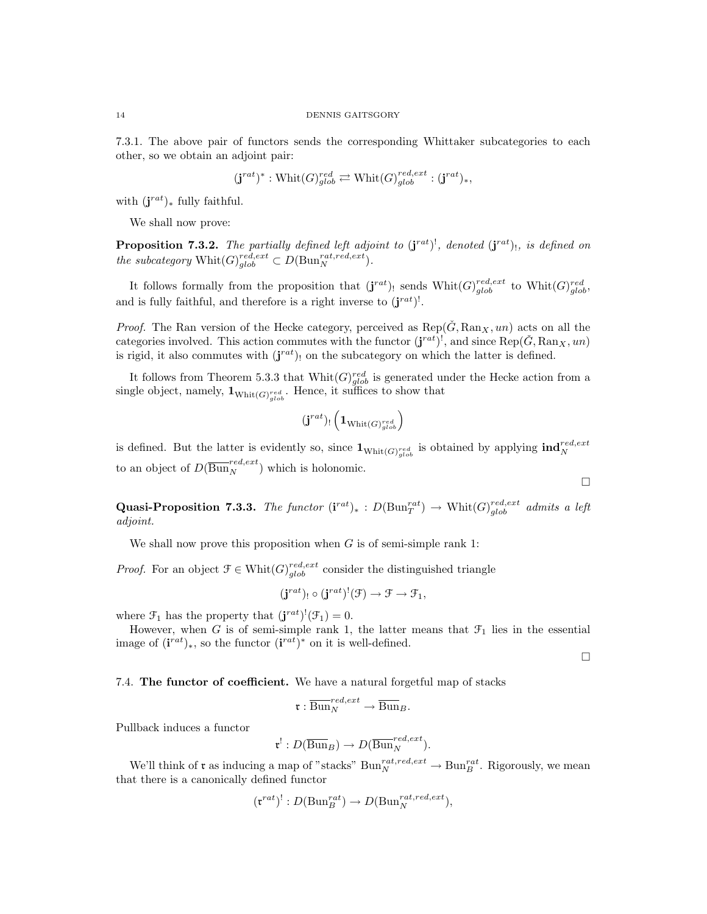7.3.1. The above pair of functors sends the corresponding Whittaker subcategories to each other, so we obtain an adjoint pair:

$$
(\mathbf{j}^{rat})^* : \operatorname{Whit}(G)_{glob}^{red} \rightleftarrows \operatorname{Whit}(G)_{glob}^{red, ext} : (\mathbf{j}^{rat})_*,
$$

with  $(j^{rat})_*$  fully faithful.

We shall now prove:

**Proposition 7.3.2.** The partially defined left adjoint to  $(j^{rat})^!$ , denoted  $(j^{rat})^!$ , is defined on the subcategory  $\text{Whit}(G)_{glob}^{red, ext} \subset D(\text{Bun}_{N}^{rat, red, ext}).$ 

It follows formally from the proposition that  $(j^{rat})$ , sends  $\text{Whit}(G)_{glob}^{red, ext}$  to  $\text{Whit}(G)_{glob}^{red}$ , and is fully faithful, and therefore is a right inverse to  $(j^{rat})^!$ .

*Proof.* The Ran version of the Hecke category, perceived as  $\text{Rep}(\check{G}, \text{Ran}_X, un)$  acts on all the categories involved. This action commutes with the functor  $(j^{rat})^l$ , and since  $\text{Rep}(\check{G}, \text{Ran}_X, un)$ is rigid, it also commutes with  $(j^{rat})$  on the subcategory on which the latter is defined.

It follows from Theorem 5.3.3 that  $\text{Whit}(G)_{glob}^{red}$  is generated under the Hecke action from a single object, namely,  $\mathbf{1}_{\text{Whit}(G)_{glob}^{red}}$ . Hence, it suffices to show that

$$
(\mathbf{j}^{rat})_!\left(\mathbf{1}_{{\rm Whit}(G)_{glob}^{red}}\right)
$$

is defined. But the latter is evidently so, since  $\mathbf{1}_{\text{Whit}(G)_{glob}^{red}}$  is obtained by applying  $\text{ind}_{N}^{red, ext}$ to an object of  $D(\overline{\text{Bun}}_N^{red,ext})$  which is holonomic.

Quasi-Proposition 7.3.3. The functor  $(i^{rat})_* : D(\text{Bun}_T^{rat}) \to \text{Whit}(G)_{glob}^{red, ext}$  admits a left adjoint.

We shall now prove this proposition when  $G$  is of semi-simple rank 1:

*Proof.* For an object  $\mathcal{F} \in \text{Whit}(G)_{glob}^{red, ext}$  consider the distinguished triangle

$$
(\mathbf{j}^{rat})_!\circ(\mathbf{j}^{rat})^!(\mathfrak{F})\to \mathfrak{F}\to \mathfrak{F}_1,
$$

where  $\mathcal{F}_1$  has the property that  $(\mathbf{j}^{rat})^!(\mathcal{F}_1)=0$ .

However, when G is of semi-simple rank 1, the latter means that  $\mathcal{F}_1$  lies in the essential image of  $(i^{rat})_*$ , so the functor  $(i^{rat})^*$  on it is well-defined.

 $\Box$ 

 $\Box$ 

7.4. The functor of coefficient. We have a natural forgetful map of stacks

$$
\mathfrak{r}: \overline{\operatorname{Bun}}_N^{red,ext}\to \overline{\operatorname{Bun}}_B.
$$

Pullback induces a functor

$$
\mathfrak{r}^!:D(\overline{\operatorname{Bun}}_B)\to D(\overline{\operatorname{Bun}}_N^{red,ext}).
$$

We'll think of  $\mathfrak r$  as inducing a map of "stacks"  $\text{Bun}_N^{rat, red, ext} \to \text{Bun}_B^{rat}$ . Rigorously, we mean that there is a canonically defined functor

$$
(\mathfrak{r}^{rat})^!: D(\mathrm{Bun}_B^{rat}) \to D(\mathrm{Bun}_N^{rat, red, ext}),
$$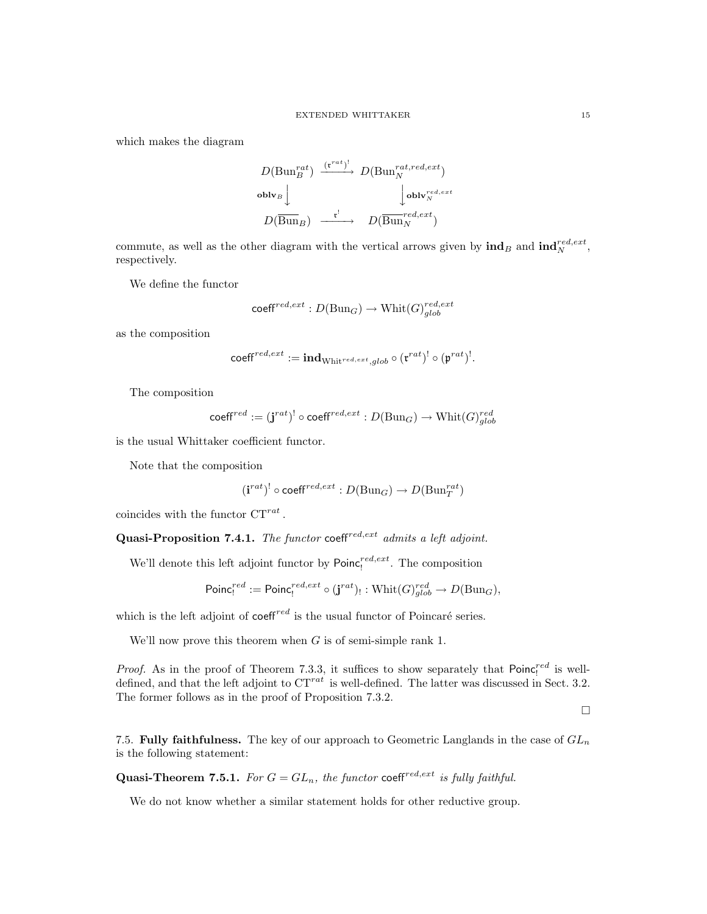which makes the diagram

$$
D(\text{Bun}_{B}^{rat}) \xrightarrow{(\mathbf{r}^{rat})^!} D(\text{Bun}_{N}^{rat, red, ext})
$$
\n
$$
\text{oblv}_{B} \downarrow \qquad \qquad \downarrow \text{oblv}_{N}^{red, ext}
$$
\n
$$
D(\overline{\text{Bun}}_{B}) \xrightarrow{\mathbf{r}^!} D(\overline{\text{Bun}}_{N}^{red, ext})
$$

commute, as well as the other diagram with the vertical arrows given by  $\text{ind}_B$  and  $\text{ind}_N^{red, ext}$ , respectively.

We define the functor

$$
\mathsf{coeff}^{red,ext}: D(\mathrm{Bun}_G) \to \mathrm{Whit}(G)_{glob}^{red,ext}
$$

as the composition

$$
\mathsf{coeff}^{red,ext} := \mathbf{ind}_{\mathrm{Whit}^{red,ext}, glob} \circ (\mathfrak{r}^{rat})^! \circ (\mathfrak{p}^{rat})^!
$$

.

The composition

$$
\mathsf{coeff}^{red} := (\mathbf{j}^{rat})^! \circ \mathsf{coeff}^{red, ext} : D(\mathrm{Bun}_G) \to \mathrm{Whit}(G)_{glob}^{red}
$$

is the usual Whittaker coefficient functor.

Note that the composition

$$
(\mathbf{i}^{rat})^! \circ \mathrm{coeff}^{red,ext} : D(\mathrm{Bun}_G) \to D(\mathrm{Bun}_T^{rat})
$$

coincides with the functor  $CT^{rat}$ .

Quasi-Proposition 7.4.1. The functor coeff<sup>red, ext</sup> admits a left adjoint.

We'll denote this left adjoint functor by  $Poinc_1^{red, ext}$ . The composition

$$
\mathsf{Poinc}_!^{red} := \mathsf{Poinc}_!^{red, ext} \circ (\mathbf{j}^{rat})_! : \mathsf{Whit}(G)_{glob}^{red} \to D(\mathsf{Bun}_G),
$$

which is the left adjoint of  $\text{coeff}^{red}$  is the usual functor of Poincaré series.

We'll now prove this theorem when  $G$  is of semi-simple rank 1.

*Proof.* As in the proof of Theorem 7.3.3, it suffices to show separately that  $Poinc_1^{red}$  is welldefined, and that the left adjoint to  $CT^{rat}$  is well-defined. The latter was discussed in Sect. 3.2. The former follows as in the proof of Proposition 7.3.2.

 $\Box$ 

7.5. Fully faithfulness. The key of our approach to Geometric Langlands in the case of  $GL_n$ is the following statement:

**Quasi-Theorem 7.5.1.** For  $G = GL_n$ , the functor coeff<sup>red, ext</sup> is fully faithful.

We do not know whether a similar statement holds for other reductive group.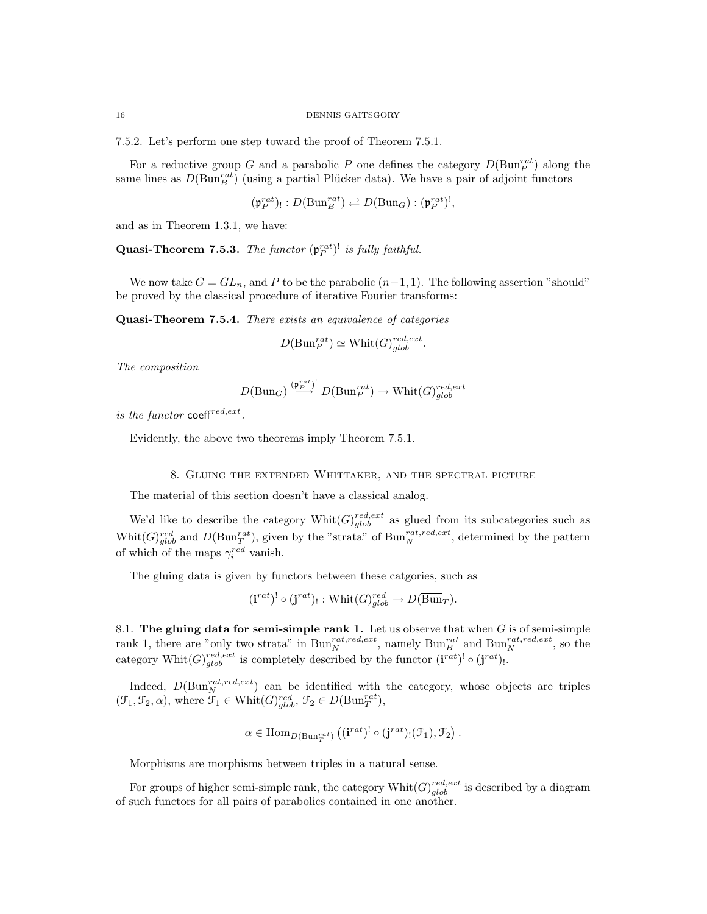7.5.2. Let's perform one step toward the proof of Theorem 7.5.1.

For a reductive group G and a parabolic P one defines the category  $D(\text{Bun}_P^{rat})$  along the same lines as  $D(\text{Bun}_B^{rat})$  (using a partial Plücker data). We have a pair of adjoint functors

$$
(\mathfrak{p}_{P}^{rat})_{!}:D(\mathrm{Bun}_{B}^{rat})\rightleftarrows D(\mathrm{Bun}_{G}):(\mathfrak{p}_{P}^{rat})^{!},
$$

and as in Theorem 1.3.1, we have:

**Quasi-Theorem 7.5.3.** The functor  $(\mathfrak{p}_P^{rat})^!$  is fully faithful.

We now take  $G = GL_n$ , and P to be the parabolic  $(n-1, 1)$ . The following assertion "should" be proved by the classical procedure of iterative Fourier transforms:

Quasi-Theorem 7.5.4. There exists an equivalence of categories

$$
D(\mathrm{Bun}_P^{rat}) \simeq \mathrm{Whit}(G)_{glob}^{red, ext}.
$$

The composition

$$
D(\mathrm{Bun}_G)\stackrel{(\mathfrak{p}_P^{rat})^!}{\longrightarrow} D(\mathrm{Bun}_P^{rat})\to \mathrm{Whit}(G)_{glob}^{red,ext}
$$

is the functor coeff<sup>red,ext</sup>.

Evidently, the above two theorems imply Theorem 7.5.1.

### 8. Gluing the extended Whittaker, and the spectral picture

The material of this section doesn't have a classical analog.

We'd like to describe the category  $\text{Whit}(G)_{glob}^{red, ext}$  as glued from its subcategories such as Whit $(G)_{glob}^{red}$  and  $D(\text{Bun}_T^{rat})$ , given by the "strata" of  $\text{Bun}_N^{rat, red, ext}$ , determined by the pattern of which of the maps  $\gamma_i^{red}$  vanish.

The gluing data is given by functors between these catgories, such as

$$
(\mathbf{i}^{rat})^! \circ (\mathbf{j}^{rat})_! : \text{Whit}(G)_{glob}^{red} \to D(\overline{\text{Bun}}_T).
$$

8.1. The gluing data for semi-simple rank 1. Let us observe that when  $G$  is of semi-simple rank 1, there are "only two strata" in  $\text{Bun}_{N}^{rat, red, ext}$ , namely  $\text{Bun}_{B}^{rat}$  and  $\text{Bun}_{N}^{rat, red, ext}$ , so the category Whit $(G)_{glob}^{red, ext}$  is completely described by the functor  $(i^{rat})! \circ (j^{rat})!$ .

Indeed,  $D(\text{Bun}_N^{rat, red, ext})$  can be identified with the category, whose objects are triples  $(\mathcal{F}_1, \mathcal{F}_2, \alpha)$ , where  $\mathcal{F}_1 \in \text{Whit}(G)_{glob}^{red}$ ,  $\mathcal{F}_2 \in D(\text{Bun}_T^{rat})$ ,

$$
\alpha \in \mathrm{Hom}_{D(\mathrm{Bun}^{rat}_{T})}\left((\mathbf{i}^{rat})^! \circ (\mathbf{j}^{rat})_{!}(\mathcal{F}_1), \mathcal{F}_2\right).
$$

Morphisms are morphisms between triples in a natural sense.

For groups of higher semi-simple rank, the category  $\text{Whit}(G)_{glob}^{red, ext}$  is described by a diagram of such functors for all pairs of parabolics contained in one another.